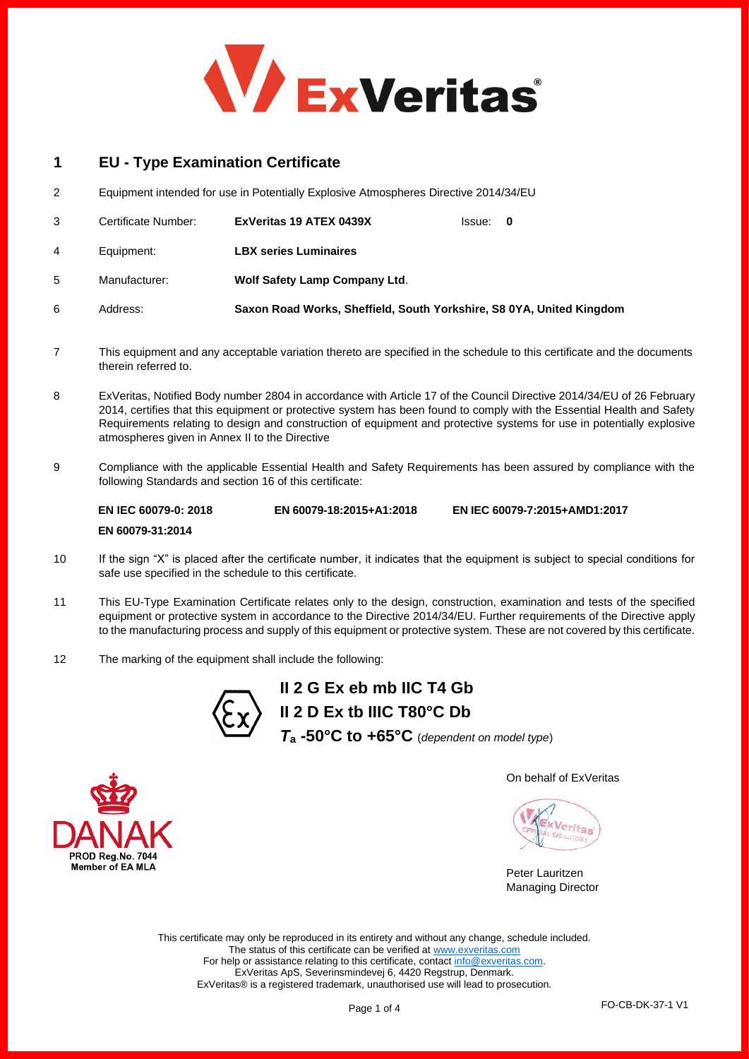

# **1 EU - Type Examination Certificate**

2 Equipment intended for use in Potentially Explosive Atmospheres Directive 2014/34/EU

|   | Certificate Number: | ExVeritas 19 ATEX 0439X                                              | lssue: 0 |  |
|---|---------------------|----------------------------------------------------------------------|----------|--|
| 4 | Equipment:          | <b>LBX series Luminaires</b>                                         |          |  |
| 5 | Manufacturer:       | <b>Wolf Safety Lamp Company Ltd.</b>                                 |          |  |
| 6 | Address:            | Saxon Road Works, Sheffield, South Yorkshire, S8 0YA, United Kingdom |          |  |

- 7 This equipment and any acceptable variation thereto are specified in the schedule to this certificate and the documents therein referred to.
- 8 ExVeritas, Notified Body number 2804 in accordance with Article 17 of the Council Directive 2014/34/EU of 26 February 2014, certifies that this equipment or protective system has been found to comply with the Essential Health and Safety Requirements relating to design and construction of equipment and protective systems for use in potentially explosive atmospheres given in Annex II to the Directive
- 9 Compliance with the applicable Essential Health and Safety Requirements has been assured by compliance with the following Standards and section 16 of this certificate:

**EN IEC 60079-0: 2018 EN 60079-31:2014 EN 60079-18:2015+A1:2018 EN IEC 60079-7:2015+AMD1:2017**

- 10 If the sign "X" is placed after the certificate number, it indicates that the equipment is subject to special conditions for safe use specified in the schedule to this certificate.
- 11 This EU-Type Examination Certificate relates only to the design, construction, examination and tests of the specified equipment or protective system in accordance to the Directive 2014/34/EU. Further requirements of the Directive apply to the manufacturing process and supply of this equipment or protective system. These are not covered by this certificate.
- 12 The marking of the equipment shall include the following:



**II 2 G Ex eb mb IIC T4 Gb II 2 D Ex tb IIIC T80°C Db** *T***<sup>a</sup> -50°C to +65°C** (*dependent on model type*)

On behalf of ExVeritas

leritas

Peter Lauritzen Managing Director

This certificate may only be reproduced in its entirety and without any change, schedule included. The status of this certificate can be verified a[t www.exveritas.com](http://www.exveritas.com/) For help or assistance relating to this certificate, contac[t info@exveritas.com.](mailto:info@exveritas.com) ExVeritas ApS, Severinsmindevej 6, 4420 Regstrup, Denmark. ExVeritas® is a registered trademark, unauthorised use will lead to prosecution.



Page 1 of 4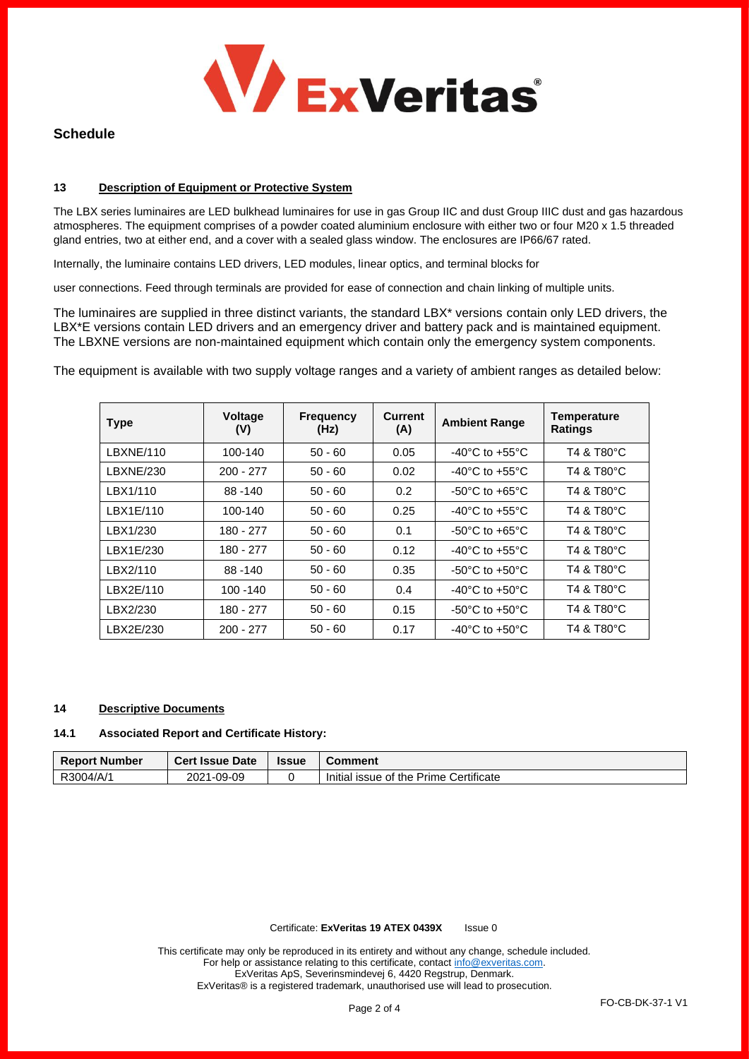

# **Schedule**

### **13 Description of Equipment or Protective System**

The LBX series luminaires are LED bulkhead luminaires for use in gas Group IIC and dust Group IIIC dust and gas hazardous atmospheres. The equipment comprises of a powder coated aluminium enclosure with either two or four M20 x 1.5 threaded gland entries, two at either end, and a cover with a sealed glass window. The enclosures are IP66/67 rated.

Internally, the luminaire contains LED drivers, LED modules, linear optics, and terminal blocks for

user connections. Feed through terminals are provided for ease of connection and chain linking of multiple units.

The luminaires are supplied in three distinct variants, the standard LBX\* versions contain only LED drivers, the LBX\*E versions contain LED drivers and an emergency driver and battery pack and is maintained equipment. The LBXNE versions are non-maintained equipment which contain only the emergency system components.

The equipment is available with two supply voltage ranges and a variety of ambient ranges as detailed below:

| <b>Type</b> | Voltage<br>(V) | <b>Frequency</b><br>(Hz) | <b>Current</b><br>(A) | <b>Ambient Range</b>                 | <b>Temperature</b><br><b>Ratings</b> |
|-------------|----------------|--------------------------|-----------------------|--------------------------------------|--------------------------------------|
| LBXNE/110   | 100-140        | $50 - 60$                | 0.05                  | $-40^{\circ}$ C to $+55^{\circ}$ C   | T4 & T80°C                           |
| LBXNE/230   | $200 - 277$    | $50 - 60$                | 0.02                  | $-40^{\circ}$ C to $+55^{\circ}$ C   | T4 & T80°C                           |
| LBX1/110    | 88-140         | $50 - 60$                | 0.2                   | $-50^{\circ}$ C to $+65^{\circ}$ C   | T4 & T80°C                           |
| LBX1E/110   | 100-140        | $50 - 60$                | 0.25                  | $-40^{\circ}$ C to $+55^{\circ}$ C   | T4 & T80°C                           |
| LBX1/230    | 180 - 277      | $50 - 60$                | 0.1                   | $-50^{\circ}$ C to $+65^{\circ}$ C   | T4 & T80°C                           |
| LBX1E/230   | 180 - 277      | $50 - 60$                | 0.12                  | -40 $^{\circ}$ C to +55 $^{\circ}$ C | T4 & T80°C                           |
| LBX2/110    | $88 - 140$     | $50 - 60$                | 0.35                  | $-50^{\circ}$ C to $+50^{\circ}$ C   | T4 & T80°C                           |
| LBX2E/110   | 100 - 140      | $50 - 60$                | 0.4                   | $-40^{\circ}$ C to $+50^{\circ}$ C   | T4 & T80°C                           |
| LBX2/230    | 180 - 277      | $50 - 60$                | 0.15                  | $-50^{\circ}$ C to $+50^{\circ}$ C   | T4 & T80°C                           |
| LBX2E/230   | $200 - 277$    | $50 - 60$                | 0.17                  | $-40^{\circ}$ C to $+50^{\circ}$ C   | T4 & T80°C                           |

## **14 Descriptive Documents**

#### **14.1 Associated Report and Certificate History:**

| <b>Report Number</b> | <b>Cert Issue Date</b> | <b>Issue</b> | Comment                                |
|----------------------|------------------------|--------------|----------------------------------------|
| R3004/A/1            | 1-09-09<br>2021        |              | Initial issue of the Prime Certificate |

Certificate: **ExVeritas 19 ATEX 0439X** Issue 0

This certificate may only be reproduced in its entirety and without any change, schedule included. For help or assistance relating to this certificate, contact [info@exveritas.com.](mailto:info@exveritas.com) ExVeritas ApS, Severinsmindevej 6, 4420 Regstrup, Denmark. ExVeritas® is a registered trademark, unauthorised use will lead to prosecution.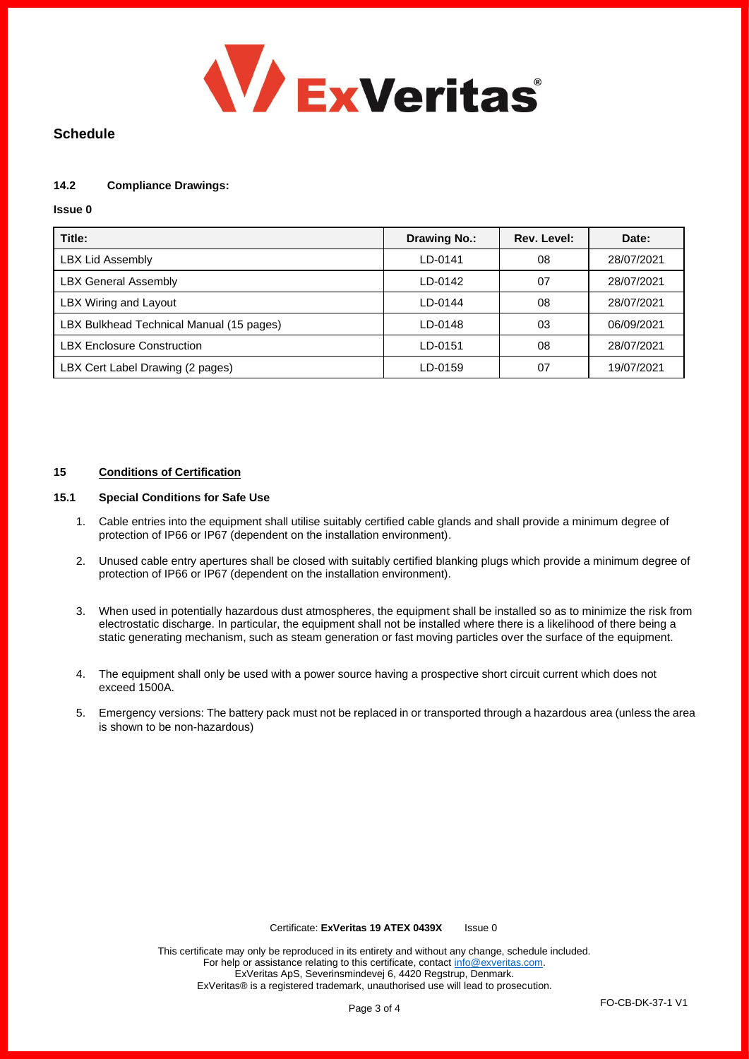

# **Schedule**

# **14.2 Compliance Drawings:**

### **Issue 0**

| Title:                                   | <b>Drawing No.:</b> | Rev. Level: | Date:      |
|------------------------------------------|---------------------|-------------|------------|
| <b>LBX Lid Assembly</b>                  | LD-0141             | 08          | 28/07/2021 |
| <b>LBX General Assembly</b>              | LD-0142             | 07          | 28/07/2021 |
| LBX Wiring and Layout                    | LD-0144             | 08          | 28/07/2021 |
| LBX Bulkhead Technical Manual (15 pages) | LD-0148             | 03          | 06/09/2021 |
| <b>LBX Enclosure Construction</b>        | LD-0151             | 08          | 28/07/2021 |
| LBX Cert Label Drawing (2 pages)         | LD-0159             | 07          | 19/07/2021 |

### **15 Conditions of Certification**

### **15.1 Special Conditions for Safe Use**

- 1. Cable entries into the equipment shall utilise suitably certified cable glands and shall provide a minimum degree of protection of IP66 or IP67 (dependent on the installation environment).
- 2. Unused cable entry apertures shall be closed with suitably certified blanking plugs which provide a minimum degree of protection of IP66 or IP67 (dependent on the installation environment).
- 3. When used in potentially hazardous dust atmospheres, the equipment shall be installed so as to minimize the risk from electrostatic discharge. In particular, the equipment shall not be installed where there is a likelihood of there being a static generating mechanism, such as steam generation or fast moving particles over the surface of the equipment.
- 4. The equipment shall only be used with a power source having a prospective short circuit current which does not exceed 1500A.
- 5. Emergency versions: The battery pack must not be replaced in or transported through a hazardous area (unless the area is shown to be non-hazardous)

#### Certificate: **ExVeritas 19 ATEX 0439X** Issue 0

This certificate may only be reproduced in its entirety and without any change, schedule included. For help or assistance relating to this certificate, contact [info@exveritas.com.](mailto:info@exveritas.com) ExVeritas ApS, Severinsmindevej 6, 4420 Regstrup, Denmark. ExVeritas® is a registered trademark, unauthorised use will lead to prosecution.